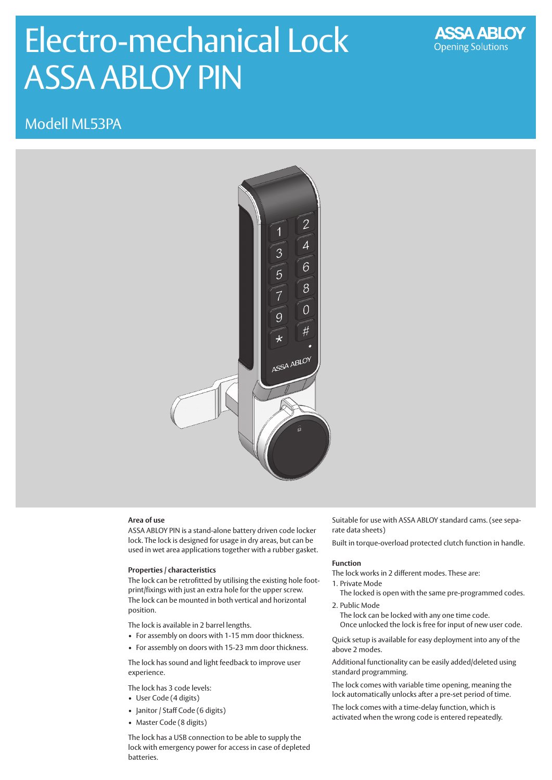# Electro-mechanical Lock ASSA ABLOY PIN



Modell ML53PA



## **Area of use**

ASSA ABLOY PIN is a stand-alone battery driven code locker lock. The lock is designed for usage in dry areas, but can be used in wet area applications together with a rubber gasket.

### **Properties / characteristics**

The lock can be retrofitted by utilising the existing hole footprint/fixings with just an extra hole for the upper screw. The lock can be mounted in both vertical and horizontal position.

The lock is available in 2 barrel lengths.

- For assembly on doors with 1-15 mm door thickness.
- For assembly on doors with 15-23 mm door thickness.

The lock has sound and light feedback to improve user experience.

The lock has 3 code levels:

- User Code (4 digits)
- Janitor / Staff Code (6 digits)
- Master Code (8 digits)

The lock has a USB connection to be able to supply the lock with emergency power for access in case of depleted batteries.

Suitable for use with ASSA ABLOY standard cams. (see separate data sheets)

Built in torque-overload protected clutch function in handle.

#### **Function**

The lock works in 2 different modes. These are:

- 1. Private Mode
- The locked is open with the same pre-programmed codes. 2. Public Mode

The lock can be locked with any one time code. Once unlocked the lock is free for input of new user code.

Quick setup is available for easy deployment into any of the above 2 modes.

Additional functionality can be easily added/deleted using standard programming.

The lock comes with variable time opening, meaning the lock automatically unlocks after a pre-set period of time.

The lock comes with a time-delay function, which is activated when the wrong code is entered repeatedly.